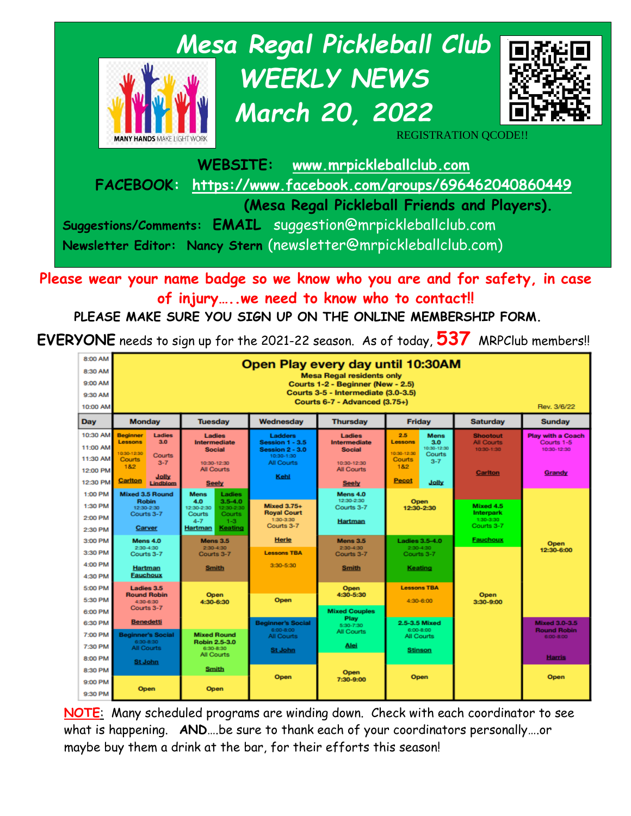

**Please wear your name badge so we know who you are and for safety, in case of injury…..we need to know who to contact!!**

**PLEASE MAKE SURE YOU SIGN UP ON THE ONLINE MEMBERSHIP FORM.** 

**EVERYONE** needs to sign up for the 2021-22 season. As of today, **537** MRPClub members!!

| 8:00 AM<br>8:30 AM<br>9:00 AM<br>9:30 AM<br>10:00 AM     | Open Play every day until 10:30AM<br><b>Mesa Regal residents only</b><br>Courts 1-2 - Beginner (New - 2.5)<br>Courts 3-5 - Intermediate (3.0-3.5)<br>Courts 6-7 - Advanced (3.75+)<br>Rev. 3/6/22 |                                                                                                                                                            |                                                                                                 |                                                                                             |                                                                                                                                   |                                                                             |                                                                          |
|----------------------------------------------------------|---------------------------------------------------------------------------------------------------------------------------------------------------------------------------------------------------|------------------------------------------------------------------------------------------------------------------------------------------------------------|-------------------------------------------------------------------------------------------------|---------------------------------------------------------------------------------------------|-----------------------------------------------------------------------------------------------------------------------------------|-----------------------------------------------------------------------------|--------------------------------------------------------------------------|
| Dav                                                      | <b>Monday</b>                                                                                                                                                                                     | <b>Tuesdav</b>                                                                                                                                             | Wednesdav                                                                                       | <b>Thursday</b>                                                                             | <b>Friday</b>                                                                                                                     | <b>Saturdav</b>                                                             | <b>Sunday</b>                                                            |
| 10:30 AM<br>11:00 AM<br>11:30 AM<br>12:00 PM<br>12:30 PM | <b>Beginner</b><br>Ladies<br><b>Lessons</b><br>3.0<br>10:30-12:30<br><b>Courts</b><br><b>Courts</b><br>$3 - 7$<br>182<br>Jolly<br>Cariton<br>Lindblom                                             | Ladies<br>Intermediate<br><b>Social</b><br>10:30-12:30<br><b>All Courts</b><br><b>Seely</b>                                                                | Ladders<br><b>Session 1 - 3.5</b><br><b>Session 2 - 3.0</b><br>10:30-1:30<br>All Courts<br>Kehl | Ladies<br>Intermediate<br><b>Social</b><br>10:30-12:30<br><b>All Courts</b><br><b>Seely</b> | 2.5<br>Mens<br><b>Lessons</b><br>3.0<br>10:30-12:30<br>10:30-12:30<br>Courts<br>Courts<br>$3 - 7$<br>1&2<br><b>Pecot</b><br>Jolly | <b>Shootout</b><br><b>All Courts</b><br>10:30-1:30<br><b>Carlton</b>        | <b>Play with a Coach</b><br>Courts 1-5<br>10:30-12:30<br>Grandy          |
| 1:00 PM<br>1:30 PM<br>2:00 PM<br>2:30 PM<br>3:00 PM      | <b>Mixed 3.5 Round</b><br><b>Robin</b><br>12:30-2:30<br>Courts 3-7<br>Carver<br>Mens 4.0                                                                                                          | <b>Mens</b><br>Ladies<br>4.0<br>$3.5 - 4.0$<br>12:30-2:30<br>12:30-2:30<br>Courts<br><b>Courts</b><br>$1 - 3$<br>$4 - 7$<br>Keating<br>Hartman<br>Mens 3.5 | <b>Mixed 3.75+</b><br><b>Royal Court</b><br>1:30-3:30<br>Courts 3-7<br><b>Herle</b>             | Mens 4.0<br>12:30-2:30<br>Courts 3-7<br><b>Hartman</b><br><b>Mens 3.5</b>                   | <b>Open</b><br>12:30-2:30<br><b>Ladies 3.5-4.0</b>                                                                                | Mixed 4.5<br><b>Interpark</b><br>1:30-3:30<br>Courts 3-7<br><b>Fauchoux</b> |                                                                          |
| 3:30 PM<br>4:00 PM<br>4:30 PM                            | 2:30-4:30<br>Courts 3-7<br>Hartman<br><b>Fauchoux</b>                                                                                                                                             | 2:30-4:30<br>Courts 3-7<br><b>Smith</b>                                                                                                                    | <b>Lessons TBA</b><br>$3:30 - 5:30$                                                             | 2:30-4:30<br>Courts 3-7<br>Smith                                                            | $2:30-4:30$<br>Courts 3-7<br>Keating                                                                                              |                                                                             | Open<br>12:30-6:00                                                       |
| 5:00 PM<br>5:30 PM<br>6:00 PM                            | Ladies 3.5<br><b>Round Robin</b><br>4:30-6:30<br>Courts 3-7                                                                                                                                       | <b>Open</b><br>4:30-6:30                                                                                                                                   | Open                                                                                            | <b>Open</b><br>4:30-5:30<br><b>Mixed Couples</b>                                            | <b>Lessons TBA</b><br>4:30-6:00                                                                                                   | Open<br>3:30-9:00                                                           |                                                                          |
| 6:30 PM<br>7:00 PM<br>7:30 PM<br>8:00 PM                 | <b>Benedetti</b><br><b>Beginner's Social</b><br>6:30-8:30<br><b>All Courts</b>                                                                                                                    | <b>Mixed Round</b><br>Robin 2.5-3.0<br>6:30-8:30<br>All Courts                                                                                             | <b>Beginner's Social</b><br>6:00-8:00<br><b>All Courts</b><br><b>St John</b>                    | Play<br>5:30-7:30<br><b>All Courts</b><br>Alei                                              | 2.5-3.5 Mixed<br>6:00-8:00<br>All Courts<br><b>Stinson</b>                                                                        |                                                                             | <b>Mixed 3.0-3.5</b><br><b>Round Robin</b><br>6:00-8:00<br><b>Harris</b> |
| 8:30 PM<br>9:00 PM<br>9:30 PM                            | <b>St John</b><br>Open                                                                                                                                                                            | Smith<br><b>Open</b>                                                                                                                                       | Open                                                                                            | Open<br>7:30-9:00                                                                           | Open                                                                                                                              |                                                                             | Open                                                                     |

**NOTE**: Many scheduled programs are winding down. Check with each coordinator to see what is happening. **AND**….be sure to thank each of your coordinators personally….or maybe buy them a drink at the bar, for their efforts this season!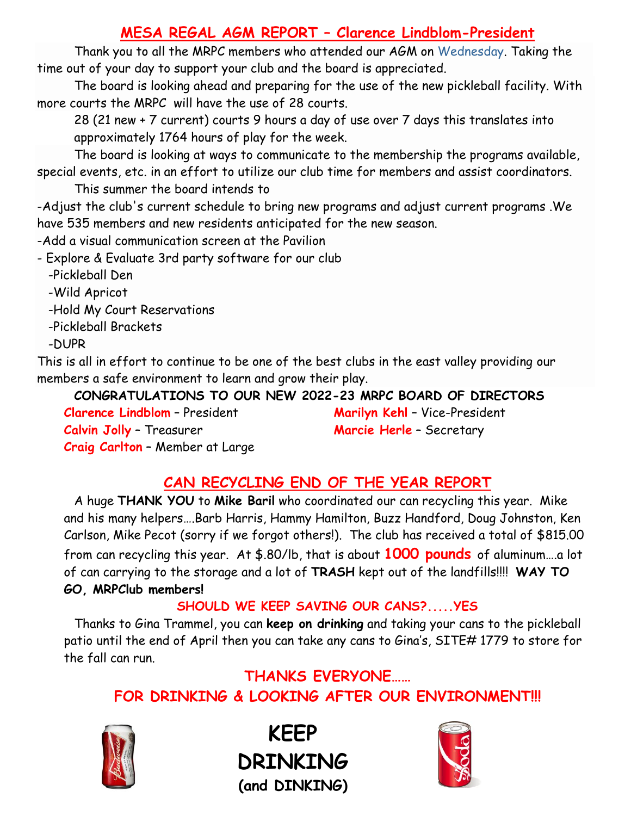# **MESA REGAL AGM REPORT – Clarence Lindblom-President**

Thank you to all the MRPC members who attended our AGM on Wednesday. Taking the time out of your day to support your club and the board is appreciated.

The board is looking ahead and preparing for the use of the new pickleball facility. With more courts the MRPC will have the use of 28 courts.

28 (21 new + 7 current) courts 9 hours a day of use over 7 days this translates into approximately 1764 hours of play for the week.

The board is looking at ways to communicate to the membership the programs available, special events, etc. in an effort to utilize our club time for members and assist coordinators.

This summer the board intends to

-Adjust the club's current schedule to bring new programs and adjust current programs .We have 535 members and new residents anticipated for the new season.

-Add a visual communication screen at the Pavilion

- Explore & Evaluate 3rd party software for our club

-Pickleball Den

-Wild Apricot

-Hold My Court Reservations

-Pickleball Brackets

-DUPR

This is all in effort to continue to be one of the best clubs in the east valley providing our members a safe environment to learn and grow their play.

**CONGRATULATIONS TO OUR NEW 2022-23 MRPC BOARD OF DIRECTORS Clarence Lindblom** – President **Marilyn Kehl** – Vice-President **Calvin Jolly** – Treasurer **Marcie Herle** – Secretary **Craig Carlton** – Member at Large

# **CAN RECYCLING END OF THE YEAR REPORT**

A huge **THANK YOU** to **Mike Baril** who coordinated our can recycling this year. Mike and his many helpers….Barb Harris, Hammy Hamilton, Buzz Handford, Doug Johnston, Ken Carlson, Mike Pecot (sorry if we forgot others!). The club has received a total of \$815.00 from can recycling this year. At \$.80/lb, that is about **1000 pounds** of aluminum….a lot of can carrying to the storage and a lot of **TRASH** kept out of the landfills!!!! **WAY TO GO, MRPClub members!**

## **SHOULD WE KEEP SAVING OUR CANS?.....YES**

Thanks to Gina Trammel, you can **keep on drinking** and taking your cans to the pickleball patio until the end of April then you can take any cans to Gina's, SITE# 1779 to store for the fall can run.

# **THANKS EVERYONE…… FOR DRINKING & LOOKING AFTER OUR ENVIRONMENT!!!**



**KEEP DRINKING (and DINKING)**

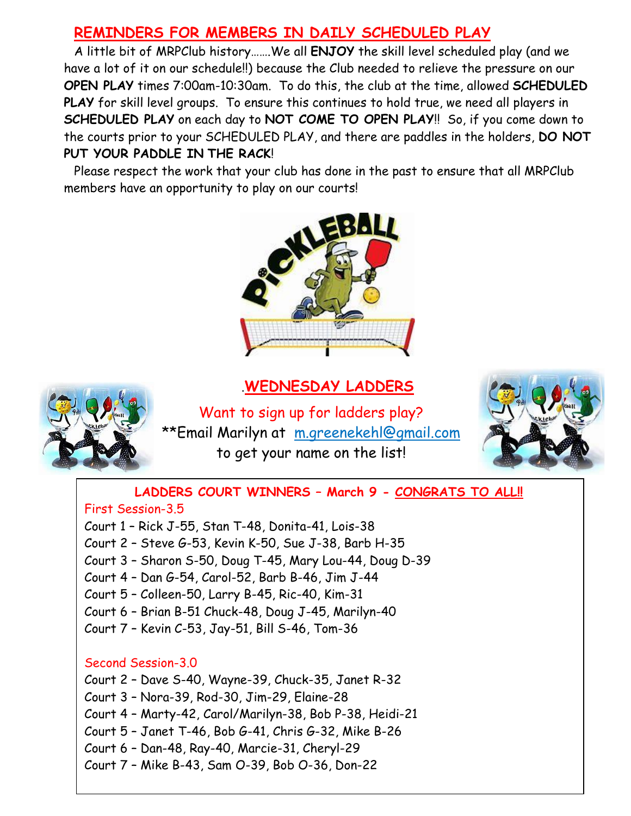## **REMINDERS FOR MEMBERS IN DAILY SCHEDULED PLAY**

A little bit of MRPClub history…….We all **ENJOY** the skill level scheduled play (and we have a lot of it on our schedule!!) because the Club needed to relieve the pressure on our **OPEN PLAY** times 7:00am-10:30am. To do this, the club at the time, allowed **SCHEDULED PLAY** for skill level groups. To ensure this continues to hold true, we need all players in **SCHEDULED PLAY** on each day to **NOT COME TO OPEN PLAY**!! So, if you come down to the courts prior to your SCHEDULED PLAY, and there are paddles in the holders, **DO NOT PUT YOUR PADDLE IN THE RACK**!

Please respect the work that your club has done in the past to ensure that all MRPClub members have an opportunity to play on our courts!



#### .**WEDNESDAY LADDERS**



Want to sign up for ladders play? \*\*Email Marilyn at [m.greenekehl@gmail.com](mailto:m.greenekehl@gmail.com) to get your name on the list!



#### **LADDERS COURT WINNERS – March 9 - CONGRATS TO ALL!!**

#### First Session-3.5

- Court 1 Rick J-55, Stan T-48, Donita-41, Lois-38
- Court 2 Steve G-53, Kevin K-50, Sue J-38, Barb H-35
- Court 3 Sharon S-50, Doug T-45, Mary Lou-44, Doug D-39
- Court 4 Dan G-54, Carol-52, Barb B-46, Jim J-44
- Court 5 Colleen-50, Larry B-45, Ric-40, Kim-31
- Court 6 Brian B-51 Chuck-48, Doug J-45, Marilyn-40
- Court 7 Kevin C-53, Jay-51, Bill S-46, Tom-36

#### Second Session-3.0

Court 2 – Dave S-40, Wayne-39, Chuck-35, Janet R-32

Court 3 – Nora-39, Rod-30, Jim-29, Elaine-28

Court 4 – Marty-42, Carol/Marilyn-38, Bob P-38, Heidi-21

Court 5 – Janet T-46, Bob G-41, Chris G-32, Mike B-26

Court 6 – Dan-48, Ray-40, Marcie-31, Cheryl-29

Court 7 – Mike B-43, Sam O-39, Bob O-36, Don-22